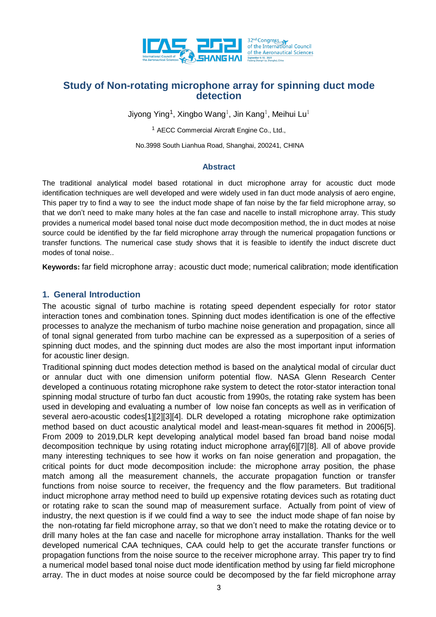

# **Study of Non-rotating microphone array for spinning duct mode detection**

Jiyong Ying<sup>1</sup>, Xingbo Wang<sup>1</sup>, Jin Kang<sup>1</sup>, Meihui Lu<sup>1</sup>

<sup>1</sup> AECC Commercial Aircraft Engine Co., Ltd.,

No.3998 South Lianhua Road, Shanghai, 200241, CHINA

#### **Abstract**

The traditional analytical model based rotational in duct microphone array for acoustic duct mode identification techniques are well developed and were widely used in fan duct mode analysis of aero engine, This paper try to find a way to see the induct mode shape of fan noise by the far field microphone array, so that we don't need to make many holes at the fan case and nacelle to install microphone array. This study provides a numerical model based tonal noise duct mode decomposition method, the in duct modes at noise source could be identified by the far field microphone array through the numerical propagation functions or transfer functions. The numerical case study shows that it is feasible to identify the induct discrete duct modes of tonal noise..

**Keywords:** far field microphone array; acoustic duct mode; numerical calibration; mode identification

## **1. General Introduction**

The acoustic signal of turbo machine is rotating speed dependent especially for rotor stator interaction tones and combination tones. Spinning duct modes identification is one of the effective processes to analyze the mechanism of turbo machine noise generation and propagation, since all of tonal signal generated from turbo machine can be expressed as a superposition of a series of spinning duct modes, and the spinning duct modes are also the most important input information for acoustic liner design.

Traditional spinning duct modes detection method is based on the analytical modal of circular duct or annular duct with one dimension uniform potential flow. NASA Glenn Research Center developed a continuous rotating microphone rake system to detect the rotor-stator interaction tonal spinning modal structure of turbo fan duct acoustic from 1990s, the rotating rake system has been used in developing and evaluating a number of low noise fan concepts as well as in verification of several aero-acoustic codes[1][2][3][4]. DLR developed a rotating microphone rake optimization method based on duct acoustic analytical model and least-mean-squares fit method in 2006[5]. From 2009 to 2019,DLR kept developing analytical model based fan broad band noise modal decomposition technique by using rotating induct microphone array[6][7][8]. All of above provide many interesting techniques to see how it works on fan noise generation and propagation, the critical points for duct mode decomposition include: the microphone array position, the phase match among all the measurement channels, the accurate propagation function or transfer functions from noise source to receiver, the frequency and the flow parameters. But traditional induct microphone array method need to build up expensive rotating devices such as rotating duct or rotating rake to scan the sound map of measurement surface. Actually from point of view of industry, the next question is if we could find a way to see the induct mode shape of fan noise by the non-rotating far field microphone array, so that we don't need to make the rotating device or to drill many holes at the fan case and nacelle for microphone array installation. Thanks for the well developed numerical CAA techniques, CAA could help to get the accurate transfer functions or propagation functions from the noise source to the receiver microphone array. This paper try to find a numerical model based tonal noise duct mode identification method by using far field microphone array. The in duct modes at noise source could be decomposed by the far field microphone array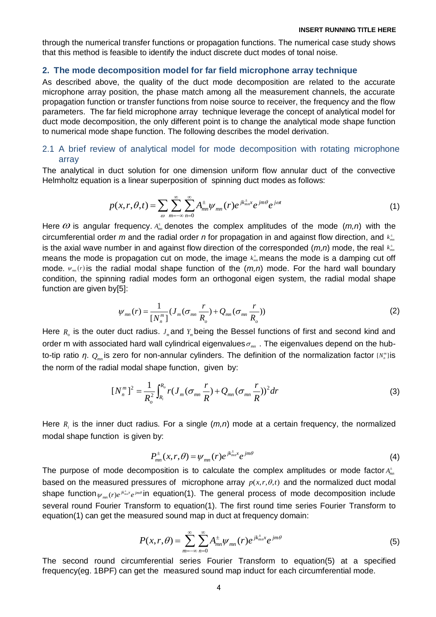through the numerical transfer functions or propagation functions. The numerical case study shows that this method is feasible to identify the induct discrete duct modes of tonal noise.

### **2. The mode decomposition model for far field microphone array technique**

As described above, the quality of the duct mode decomposition are related to the accurate microphone array position, the phase match among all the measurement channels, the accurate propagation function or transfer functions from noise source to receiver, the frequency and the flow parameters. The far field microphone array technique leverage the concept of analytical model for duct mode decomposition, the only different point is to change the analytical mode shape function to numerical mode shape function. The following describes the model derivation.

### 2.1 A brief review of analytical model for mode decomposition with rotating microphone array

The analytical in duct solution for one dimension uniform flow annular duct of the convective

Helmholtz equation is a linear superposition of spinning duct modes as follows:  
\n
$$
p(x, r, \theta, t) = \sum_{\omega} \sum_{m=-\infty}^{\infty} \sum_{n=0}^{\infty} A_{mn}^{\pm} \psi_{mn}(r) e^{jk_{mn}^{\pm}x} e^{jm\theta} e^{j\omega t}
$$
\n(1)

Here  $\omega$  is angular frequency.  $A_{\scriptscriptstyle\rm mm}^{\scriptscriptstyle\pm}$  denotes the complex amplitudes of the mode  $(m,n)$  with the circumferential order m and the radial order n for propagation in and against flow direction, and  $k_{mn}^{\pm}$ is the axial wave number in and against flow direction of the corresponded  $(m, n)$  mode, the real  $k_{mn}^{\pm}$ means the mode is propagation cut on mode, the image  $k_{\scriptscriptstyle \rm mm}^{\scriptscriptstyle \pm}$  means the mode is a damping cut off mode.  $w_{mn}(r)$  is the radial modal shape function of the  $(m,n)$  mode. For the hard wall boundary condition, the spinning radial modes form an orthogonal eigen system, the radial modal shape function are given by[5]:

$$
\psi_{mn}(r) = \frac{1}{[N_n^m]}(J_m(\sigma_{mn}\frac{r}{R_o}) + Q_{mn}(\sigma_{mn}\frac{r}{R_o}))
$$
\n(2)

Here  $R_o$  is the outer duct radius.  $J_m$  and  $Y_m$  being the Bessel functions of first and second kind and order m with associated hard wall cylindrical eigenvalues  $\sigma_{_{mn}}$  . The eigenvalues depend on the hubto-tip ratio *η. Q<sub>mn</sub>* is zero for non-annular cylinders. The definition of the normalization factor [*N*<sub>n</sub>n]is the norm of the radial modal shape function, given by:

$$
[N_n^m]^2 = \frac{1}{R_o^2} \int_{R_i}^{R_o} r(J_m(\sigma_{mn} \frac{r}{R}) + Q_{mn}(\sigma_{mn} \frac{r}{R}))^2 dr
$$
 (3)

Here *Ri* is the inner duct radius. For a single (*m,n*) mode at a certain frequency, the normalized modal shape function is given by:

$$
P_{mn}^{\pm}(x,r,\theta) = \psi_{mn}(r)e^{jk_{mn}^{\pm}x}e^{jm\theta} \tag{4}
$$

The purpose of mode decomposition is to calculate the complex amplitudes or mode factor *A mn* based on the measured pressures of microphone array  $p(x,r,\theta,t)$  and the normalized duct modal shape function  $\psi_{mn}(r)e^{jk_{mn}^*x}e^{jm\theta}$  in equation(1). The general process of mode decomposition include several round Fourier Transform to equation(1). The first round time series Fourier Transform to

equation(1) can get the measured sound map in duct at frequency domain:  
\n
$$
P(x,r,\theta) = \sum_{m=-\infty}^{\infty} \sum_{n=0}^{\infty} A_{mn}^{\pm} \psi_{mn}(r) e^{jk_{mn}^{\pm}x} e^{jm\theta}
$$
\n(5)

The second round circumferential series Fourier Transform to equation(5) at a specified frequency(eg. 1BPF) can get the measured sound map induct for each circumferential mode.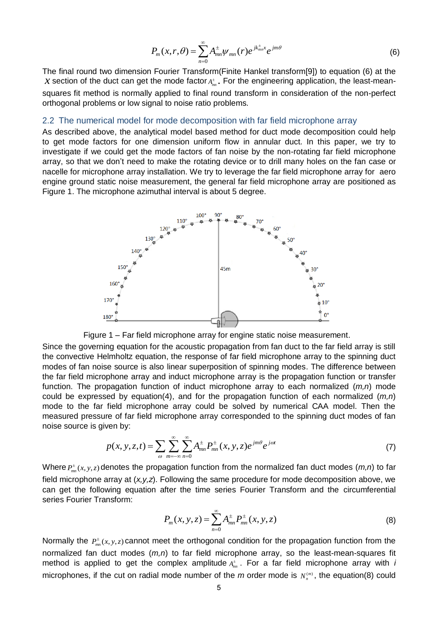$$
P_m(x,r,\theta) = \sum_{n=0}^{\infty} A_{mn}^{\pm} \psi_{mn}(r) e^{jk_{mn}^{\pm}x} e^{jm\theta}
$$
 (6)

The final round two dimension Fourier Transform(Finite Hankel transform[9]) to equation (6) at the x section of the duct can get the mode factor  $A_{mn}^{\pm}$ . For the engineering application, the least-meansquares fit method is normally applied to final round transform in consideration of the non-perfect orthogonal problems or low signal to noise ratio problems.

#### 2.2 The numerical model for mode decomposition with far field microphone array

As described above, the analytical model based method for duct mode decomposition could help to get mode factors for one dimension uniform flow in annular duct. In this paper, we try to investigate if we could get the mode factors of fan noise by the non-rotating far field microphone array, so that we don't need to make the rotating device or to drill many holes on the fan case or nacelle for microphone array installation. We try to leverage the far field microphone array for aero engine ground static noise measurement, the general far field microphone array are positioned as Figure 1. The microphone azimuthal interval is about 5 degree.



Figure 1 – Far field microphone array for engine static noise measurement.

Since the governing equation for the acoustic propagation from fan duct to the far field array is still the convective Helmholtz equation, the response of far field microphone array to the spinning duct modes of fan noise source is also linear superposition of spinning modes. The difference between the far field microphone array and induct microphone array is the propagation function or transfer function. The propagation function of induct microphone array to each normalized (*m,n*) mode could be expressed by equation(4), and for the propagation function of each normalized (*m,n*) mode to the far field microphone array could be solved by numerical CAA model. Then the noise source is given by:

measured pressure of far field microphone array corresponded to the spinning duct modes of fan  
noise source is given by:  

$$
p(x, y, z, t) = \sum_{\omega} \sum_{m=-\infty}^{\infty} \sum_{n=0}^{\infty} A_{mn}^{\pm} P_{mn}^{\pm}(x, y, z) e^{jm\theta} e^{j\omega t}
$$
(7)

Where  $P_{_{mn}}^\pm (x,y,z)$  denotes the propagation function from the normalized fan duct modes (*m,n*) to far field microphone array at (*x,y,z*). Following the same procedure for mode decomposition above, we can get the following equation after the time series Fourier Transform and the circumferential series Fourier Transform:

$$
P_m(x, y, z) = \sum_{n=0}^{\infty} A_{mn}^{\pm} P_{mn}^{\pm} (x, y, z)
$$
 (8)

Normally the  $P_{mn}^{\pm}(x,y,z)$  cannot meet the orthogonal condition for the propagation function from the normalized fan duct modes (*m,n*) to far field microphone array, so the least-mean-squares fit method is applied to get the complex amplitude  $A_{mn}^{\pm}$ . For a far field microphone array with *i* microphones, if the cut on radial mode number of the *m* order mode is  $N_n^{(m)}$ , the equation(8) could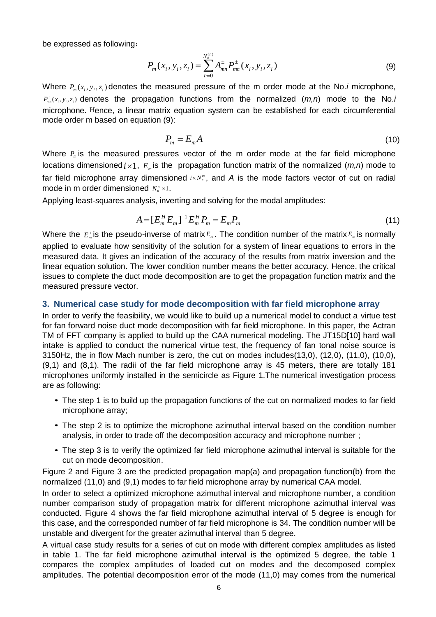be expressed as following:

$$
P_m(x_i, y_i, z_i) = \sum_{n=0}^{N_n^{(n)}} A_{mn}^{\pm} P_{mn}^{\pm} (x_i, y_i, z_i)
$$
 (9)

Where  $P_m(x_i, y_i, z_i)$  denotes the measured pressure of the m order mode at the No.*i* microphone,  $P_{mn}^{\pm}(x_i, y_i, z_i)$  denotes the propagation functions from the normalized  $(m,n)$  mode to the No.*i* microphone. Hence, a linear matrix equation system can be established for each circumferential mode order m based on equation (9):

$$
P_m = E_m A \tag{10}
$$

Where  $P_m$  is the measured pressures vector of the m order mode at the far field microphone locations dimensioned  $i \times 1$ ,  $E_m$  is the propagation function matrix of the normalized (*m,n*) mode to far field microphone array dimensioned  $i \times N_n^m$ , and A is the mode factors vector of cut on radial mode in m order dimensioned  $N_n^m \times 1$ .

Applying least-squares analysis, inverting and solving for the modal amplitudes:

$$
A = [E_m^H E_m]^{-1} E_m^H P_m = E_m^+ P_m \tag{11}
$$

Where the  $E_m^*$  is the pseudo-inverse of matrix $E_m$ . The condition number of the matrix $E_m$  is normally applied to evaluate how sensitivity of the solution for a system of linear equations to errors in the measured data. It gives an indication of the accuracy of the results from matrix inversion and the linear equation solution. The lower condition number means the better accuracy. Hence, the critical issues to complete the duct mode decomposition are to get the propagation function matrix and the measured pressure vector.

#### **3. Numerical case study for mode decomposition with far field microphone array**

In order to verify the feasibility, we would like to build up a numerical model to conduct a virtue test for fan forward noise duct mode decomposition with far field microphone. In this paper, the Actran TM of FFT company is applied to build up the CAA numerical modeling. The JT15D[10] hard wall intake is applied to conduct the numerical virtue test, the frequency of fan tonal noise source is 3150Hz, the in flow Mach number is zero, the cut on modes includes(13,0), (12,0), (11,0), (10,0), (9,1) and (8,1). The radii of the far field microphone array is 45 meters, there are totally 181 microphones uniformly installed in the semicircle as Figure 1.The numerical investigation process are as following:

- The step 1 is to build up the propagation functions of the cut on normalized modes to far field microphone array;
- The step 2 is to optimize the microphone azimuthal interval based on the condition number analysis, in order to trade off the decomposition accuracy and microphone number ;
- The step 3 is to verify the optimized far field microphone azimuthal interval is suitable for the cut on mode decomposition.

Figure 2 and Figure 3 are the predicted propagation map(a) and propagation function(b) from the normalized (11,0) and (9,1) modes to far field microphone array by numerical CAA model.

In order to select a optimized microphone azimuthal interval and microphone number, a condition number comparison study of propagation matrix for different microphone azimuthal interval was conducted. Figure 4 shows the far field microphone azimuthal interval of 5 degree is enough for this case, and the corresponded number of far field microphone is 34. The condition number will be unstable and divergent for the greater azimuthal interval than 5 degree.

A virtual case study results for a series of cut on mode with different complex amplitudes as listed in table 1. The far field microphone azimuthal interval is the optimized 5 degree, the table 1 compares the complex amplitudes of loaded cut on modes and the decomposed complex amplitudes. The potential decomposition error of the mode (11,0) may comes from the numerical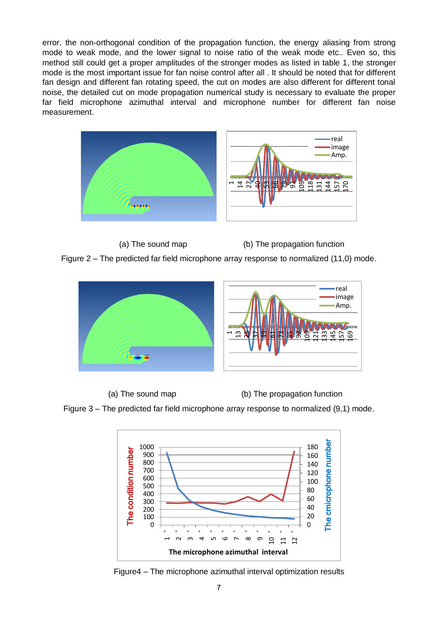error, the non-orthogonal condition of the propagation function, the energy aliasing from strong mode to weak mode, and the lower signal to noise ratio of the weak mode etc.. Even so, this method still could get a proper amplitudes of the stronger modes as listed in table 1, the stronger mode is the most important issue for fan noise control after all . It should be noted that for different fan design and different fan rotating speed, the cut on modes are also different for different tonal noise, the detailed cut on mode propagation numerical study is necessary to evaluate the proper far field microphone azimuthal interval and microphone number for different fan noise measurement.





(a) The sound map (b) The propagation function

Figure 2 – The predicted far field microphone array response to normalized (11,0) mode.



(a) The sound map (b) The propagation function

Figure 3 – The predicted far field microphone array response to normalized (9,1) mode.



Figure4 – The microphone azimuthal interval optimization results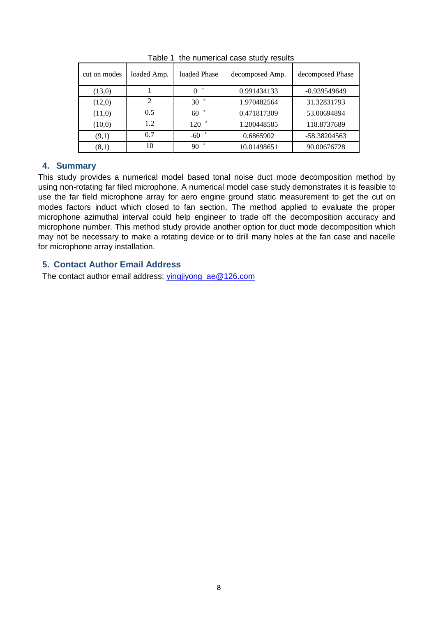| cut on modes | loaded Amp. | loaded Phase   | decomposed Amp. | decomposed Phase |
|--------------|-------------|----------------|-----------------|------------------|
| (13,0)       |             | ۰<br>$\Omega$  | 0.991434133     | $-0.939549649$   |
| (12,0)       |             | $30$ $\degree$ | 1.970482564     | 31.32831793      |
| (11,0)       | 0.5         | 60             | 0.471817309     | 53.00694894      |
| (10,0)       | 1.2         | 120            | 1.200448585     | 118.8737689      |
| (9,1)        | 0.7         | $-60$          | 0.6865902       | -58.38204563     |
| (8,1)        | 10          | 90             | 10.01498651     | 90.00676728      |

Table 1 the numerical case study results

## **4. Summary**

This study provides a numerical model based tonal noise duct mode decomposition method by using non-rotating far filed microphone. A numerical model case study demonstrates it is feasible to use the far field microphone array for aero engine ground static measurement to get the cut on modes factors induct which closed to fan section. The method applied to evaluate the proper microphone azimuthal interval could help engineer to trade off the decomposition accuracy and microphone number. This method study provide another option for duct mode decomposition which may not be necessary to make a rotating device or to drill many holes at the fan case and nacelle for microphone array installation.

## **5. Contact Author Email Address**

The contact author email address: [yingjiyong\\_ae@126.com](mailto:yingjiyong_ae@126.com)